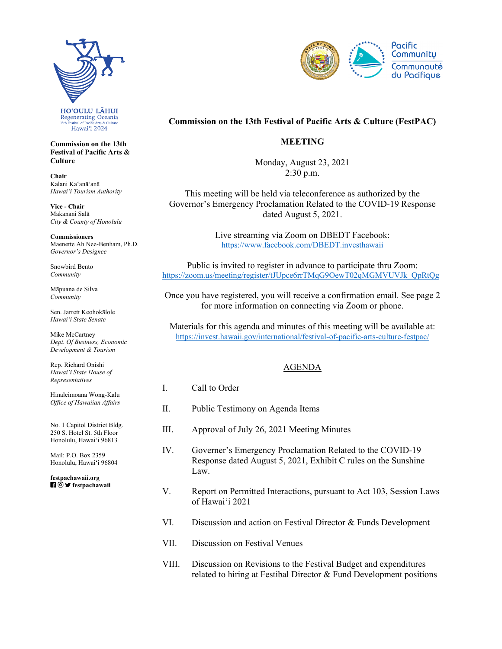

**Commission on the 13th Festival of Pacific Arts & Culture** 

**Chair**  Kalani Kaʻanāʻanā *Hawaiʻi Tourism Authority* 

**Vice - Chair**  Makanani Salā *City & County of Honolulu*

**Commissioners**  Maenette Ah Nee-Benham, Ph.D. *Governor's Designee* 

Snowbird Bento *Community* 

Māpuana de Silva *Community* 

Sen. Jarrett Keohokālole *Hawaiʻi State Senate*

Mike McCartney *Dept. Of Business, Economic Development & Tourism* 

Rep. Richard Onishi *Hawai'i State House of Representatives* 

Hinaleimoana Wong-Kalu *Office of Hawaiian Affairs* 

No. 1 Capitol District Bldg. 250 S. Hotel St. 5th Floor Honolulu, Hawaiʻi 96813

Mail: P.O. Box 2359 Honolulu, Hawaiʻi 96804

**festpachawaii.org fi** *o* **y** festpachawaii



## **Commission on the 13th Festival of Pacific Arts & Culture (FestPAC)**

## **MEETING**

Monday, August 23, 2021  $2:30$  p.m.

This meeting will be held via teleconference as authorized by the Governor's Emergency Proclamation Related to the COVID-19 Response dated August 5, 2021.

> Live streaming via Zoom on DBEDT Facebook: https://www.facebook.com/DBEDT.investhawaii

Public is invited to register in advance to participate thru Zoom: https://zoom.us/meeting/register/tJUpce6rrTMqG9OewT02qMGMVUVJk\_QpRtQg

Once you have registered, you will receive a confirmation email. See page 2 for more information on connecting via Zoom or phone.

Materials for this agenda and minutes of this meeting will be available at: https://invest.hawaii.gov/international/festival-of-pacific-arts-culture-festpac/

## AGENDA

- I. Call to Order
- II. Public Testimony on Agenda Items
- III. Approval of July 26, 2021 Meeting Minutes
- IV. Governer's Emergency Proclamation Related to the COVID-19 Response dated August 5, 2021, Exhibit C rules on the Sunshine Law.
- V. Report on Permitted Interactions, pursuant to Act 103, Session Laws of Hawaiʻi 2021
- VI. Discussion and action on Festival Director & Funds Development
- VII. Discussion on Festival Venues
- VIII. Discussion on Revisions to the Festival Budget and expenditures related to hiring at Festibal Director & Fund Development positions